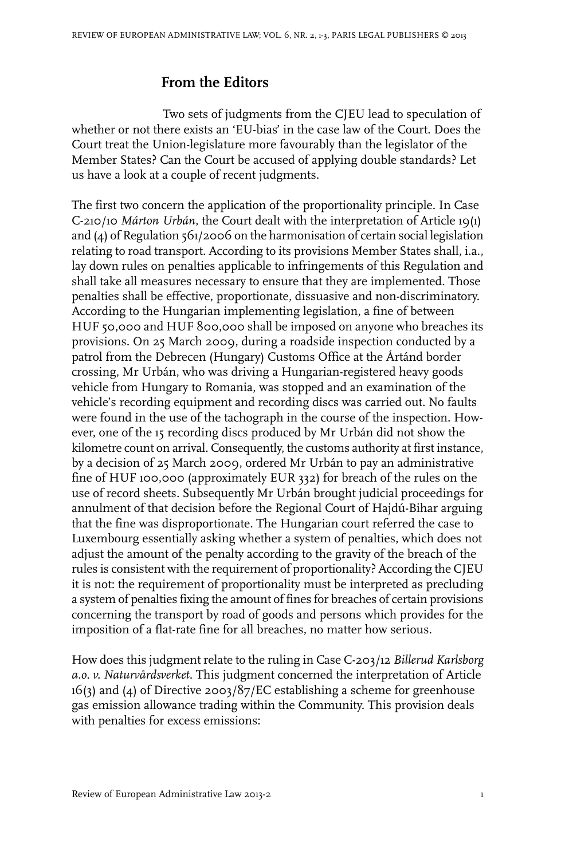## **From the Editors**

Two sets of judgments from the CJEU lead to speculation of whether or not there exists an 'EU-bias' in the case law of the Court. Does the Court treat the Union-legislature more favourably than the legislator of the Member States? Can the Court be accused of applying double standards? Let us have a look at a couple of recent judgments.

The first two concern the application of the proportionality principle. In Case C-210/10 *Márton Urbán*, the Court dealt with the interpretation of Article 19(1) and  $\overline{A}$ ) of Regulation 561/2006 on the harmonisation of certain social legislation relating to road transport. According to its provisions Member States shall, i.a., lay down rules on penalties applicable to infringements of this Regulation and shall take all measures necessary to ensure that they are implemented. Those penalties shall be effective, proportionate, dissuasive and non-discriminatory. According to the Hungarian implementing legislation, a fine of between HUF 50,000 and HUF 800,000 shall be imposed on anyone who breaches its provisions. On 25 March 2009, during a roadside inspection conducted by a patrol from the Debrecen (Hungary) Customs Office at the Ártánd border crossing, Mr Urbán, who was driving a Hungarian-registered heavy goods vehicle from Hungary to Romania, was stopped and an examination of the vehicle's recording equipment and recording discs was carried out. No faults were found in the use of the tachograph in the course of the inspection. However, one of the 15 recording discs produced by Mr Urbán did not show the kilometre count on arrival. Consequently, the customs authority at first instance, by a decision of 25 March 2009, ordered Mr Urbán to pay an administrative fine of HUF 100,000 (approximately EUR 332) for breach of the rules on the use of record sheets. Subsequently Mr Urbán brought judicial proceedings for annulment of that decision before the Regional Court of Hajdú-Bihar arguing that the fine was disproportionate. The Hungarian court referred the case to Luxembourg essentially asking whether a system of penalties, which does not adjust the amount of the penalty according to the gravity of the breach of the rules is consistent with the requirement of proportionality? According the CJEU it is not: the requirement of proportionality must be interpreted as precluding a system of penalties fixing the amount of fines for breaches of certain provisions concerning the transport by road of goods and persons which provides for the imposition of a flat-rate fine for all breaches, no matter how serious.

How does this judgment relate to the ruling in Case C-203/12 *Billerud Karlsborg a.o. v. Naturvårdsverket*. This judgment concerned the interpretation of Article 16(3) and (4) of Directive 2003/87/EC establishing a scheme for greenhouse gas emission allowance trading within the Community. This provision deals with penalties for excess emissions: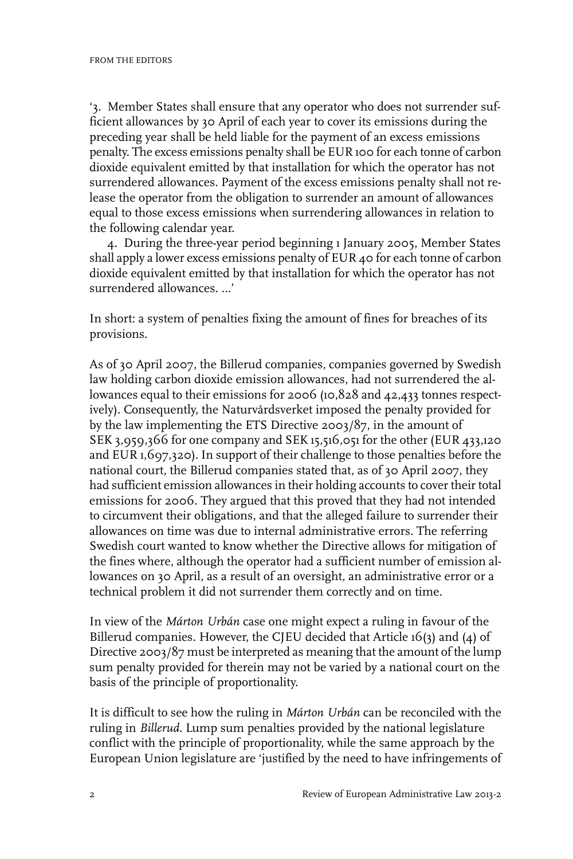'3. Member States shall ensure that any operator who does not surrender sufficient allowances by 30 April of each year to cover its emissions during the preceding year shall be held liable for the payment of an excess emissions penalty. The excess emissions penalty shall be EUR 100 for each tonne of carbon dioxide equivalent emitted by that installation for which the operator has not surrendered allowances. Payment of the excess emissions penalty shall not release the operator from the obligation to surrender an amount of allowances equal to those excess emissions when surrendering allowances in relation to the following calendar year.

4. During the three-year period beginning 1 January 2005, Member States shall apply a lower excess emissions penalty of EUR 40 for each tonne of carbon dioxide equivalent emitted by that installation for which the operator has not surrendered allowances. …'

In short: a system of penalties fixing the amount of fines for breaches of its provisions.

As of 30 April 2007, the Billerud companies, companies governed by Swedish law holding carbon dioxide emission allowances, had not surrendered the allowances equal to their emissions for 2006 (10,828 and 42,433 tonnes respectively). Consequently, the Naturvårdsverket imposed the penalty provided for by the law implementing the ETS Directive 2003/87, in the amount of SEK 3,959,366 for one company and SEK 15,516,051 for the other (EUR 433,120 and EUR 1,697,320). In support of their challenge to those penalties before the national court, the Billerud companies stated that, as of 30 April 2007, they had sufficient emission allowances in their holding accounts to cover their total emissions for 2006. They argued that this proved that they had not intended to circumvent their obligations, and that the alleged failure to surrender their allowances on time was due to internal administrative errors. The referring Swedish court wanted to know whether the Directive allows for mitigation of the fines where, although the operator had a sufficient number of emission allowances on 30 April, as a result of an oversight, an administrative error or a technical problem it did not surrender them correctly and on time.

In view of the *Márton Urbán* case one might expect a ruling in favour of the Billerud companies. However, the CJEU decided that Article 16(3) and (4) of Directive 2003/87 must be interpreted as meaning that the amount of the lump sum penalty provided for therein may not be varied by a national court on the basis of the principle of proportionality.

It is difficult to see how the ruling in *Márton Urbán* can be reconciled with the ruling in *Billerud*. Lump sum penalties provided by the national legislature conflict with the principle of proportionality, while the same approach by the European Union legislature are 'justified by the need to have infringements of